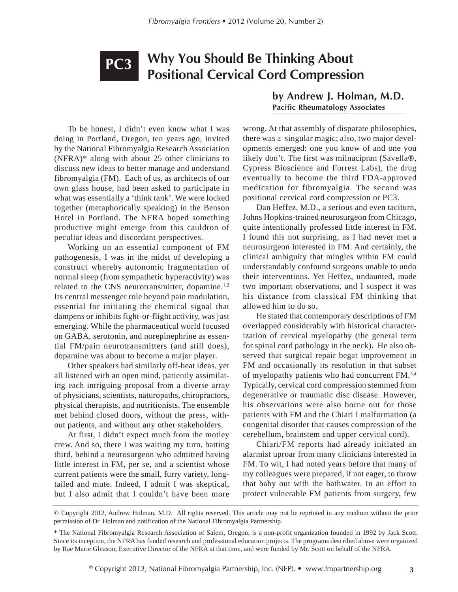## **Why You Should Be Thinking About Positional Cervical Cord Compression PC3**

To be honest, I didn't even know what I was doing in Portland, Oregon, ten years ago, invited by the National Fibromyalgia Research Association (NFRA)\* along with about 25 other clinicians to discuss new ideas to better manage and understand fibromyalgia (FM). Each of us, as architects of our own glass house, had been asked to participate in what was essentially a 'think tank'. We were locked together (metaphorically speaking) in the Benson Hotel in Portland. The NFRA hoped something productive might emerge from this cauldron of peculiar ideas and discordant perspectives.

Working on an essential component of FM pathogenesis, I was in the midst of developing a construct whereby autonomic fragmentation of normal sleep (from sympathetic hyperactivity) was related to the CNS neurotransmitter, dopamine.<sup>1,2</sup> Its central messenger role beyond pain modulation, essential for initiating the chemical signal that dampens or inhibits fight-or-flight activity, was just emerging. While the pharmaceutical world focused on GABA, serotonin, and norepinephrine as essential FM/pain neurotransmitters (and still does), dopamine was about to become a major player.

Other speakers had similarly off-beat ideas, yet all listened with an open mind, patiently assimilating each intriguing proposal from a diverse array of physicians, scientists, naturopaths, chiropractors, physical therapists, and nutritionists. The ensemble met behind closed doors, without the press, without patients, and without any other stakeholders.

At first, I didn't expect much from the motley crew. And so, there I was waiting my turn, batting third, behind a neurosurgeon who admitted having little interest in FM, per se, and a scientist whose current patients were the small, furry variety, longtailed and mute. Indeed, I admit I was skeptical, but I also admit that I couldn't have been more

**by Andrew J. Holman, M.D. Pacific Rheumatology Associates**

wrong. At that assembly of disparate philosophies, there was a singular magic; also, two major developments emerged: one you know of and one you likely don't. The first was milnacipran (Savella®, Cypress Bioscience and Forrest Labs), the drug eventually to become the third FDA-approved medication for fibromyalgia. The second was positional cervical cord compression or PC3.

Dan Heffez, M.D., a serious and even taciturn, Johns Hopkins-trained neurosurgeon from Chicago, quite intentionally professed little interest in FM. I found this not surprising, as I had never met a neurosurgeon interested in FM. And certainly, the clinical ambiguity that mingles within FM could understandably confound surgeons unable to undo their interventions. Yet Heffez, undaunted, made two important observations, and I suspect it was his distance from classical FM thinking that allowed him to do so.

He stated that contemporary descriptions of FM overlapped considerably with historical characterization of cervical myelopathy (the general term for spinal cord pathology in the neck). He also observed that surgical repair begat improvement in FM and occasionally its resolution in that subset of myelopathy patients who had concurrent FM.3,4 Typically, cervical cord compression stemmed from degenerative or traumatic disc disease. However, his observations were also borne out for those patients with FM and the Chiari I malformation (a congenital disorder that causes compression of the cerebellum, brainstem and upper cervical cord).

Chiari/FM reports had already initiated an alarmist uproar from many clinicians interested in FM. To wit, I had noted years before that many of my colleagues were prepared, if not eager, to throw that baby out with the bathwater. In an effort to protect vulnerable FM patients from surgery, few

© Copyright 2012, Andrew Holman, M.D. All rights reserved. This article may not be reprinted in any medium without the prior permission of Dr. Holman and notification of the National Fibromyalgia Partnership.

<sup>\*</sup> The National Fibromyalgia Research Association of Salem, Oregon, is a non-profit organization founded in 1992 by Jack Scott. Since its inception, the NFRA has funded research and professional education projects. The programs described above were organized by Rae Marie Gleason, Executive Director of the NFRA at that time, and were funded by Mr. Scott on behalf of the NFRA.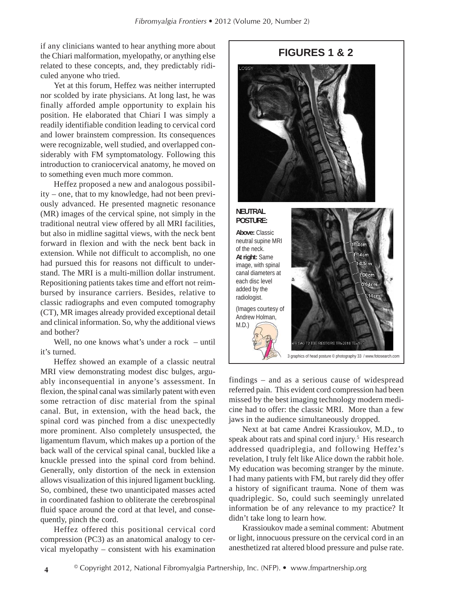if any clinicians wanted to hear anything more about the Chiari malformation, myelopathy, or anything else related to these concepts, and, they predictably ridiculed anyone who tried.

Yet at this forum, Heffez was neither interrupted nor scolded by irate physicians. At long last, he was finally afforded ample opportunity to explain his position. He elaborated that Chiari I was simply a readily identifiable condition leading to cervical cord and lower brainstem compression. Its consequences were recognizable, well studied, and overlapped considerably with FM symptomatology. Following this introduction to craniocervical anatomy, he moved on to something even much more common.

Heffez proposed a new and analogous possibility – one, that to my knowledge, had not been previously advanced. He presented magnetic resonance (MR) images of the cervical spine, not simply in the traditional neutral view offered by all MRI facilities, but also in midline sagittal views, with the neck bent forward in flexion and with the neck bent back in extension. While not difficult to accomplish, no one had pursued this for reasons not difficult to understand. The MRI is a multi-million dollar instrument. Repositioning patients takes time and effort not reimbursed by insurance carriers. Besides, relative to classic radiographs and even computed tomography (CT), MR images already provided exceptional detail and clinical information. So, why the additional views and bother?

Well, no one knows what's under a rock – until it's turned.

Heffez showed an example of a classic neutral MRI view demonstrating modest disc bulges, arguably inconsequential in anyone's assessment. In flexion, the spinal canal was similarly patent with even some retraction of disc material from the spinal canal. But, in extension, with the head back, the spinal cord was pinched from a disc unexpectedly more prominent. Also completely unsuspected, the ligamentum flavum, which makes up a portion of the back wall of the cervical spinal canal, buckled like a knuckle pressed into the spinal cord from behind. Generally, only distortion of the neck in extension allows visualization of this injured ligament buckling. So, combined, these two unanticipated masses acted in coordinated fashion to obliterate the cerebrospinal fluid space around the cord at that level, and consequently, pinch the cord.

Heffez offered this positional cervical cord compression (PC3) as an anatomical analogy to cervical myelopathy – consistent with his examination

**NEUTRAL POSTURE: Above:** Classic neutral supine MRI of the neck. 14<sub>cm</sub> **At right:** Same .03cm image, with spinal canal diameters at 08cm each disc level 94cm added by the radiologist. (Images courtesy of Andrew Holman, M.D.) /9 SAG T2 TSE RESTORE TR=2810 TE=105

**FIGURES 1 & 2**

findings – and as a serious cause of widespread referred pain. This evident cord compression had been missed by the best imaging technology modern medicine had to offer: the classic MRI. More than a few jaws in the audience simultaneously dropped.

3 graphics of head posture © photography 33 / www.fotosearch.com

Next at bat came Andrei Krassioukov, M.D., to speak about rats and spinal cord injury.<sup>5</sup> His research addressed quadriplegia, and following Heffez's revelation, I truly felt like Alice down the rabbit hole. My education was becoming stranger by the minute. I had many patients with FM, but rarely did they offer a history of significant trauma. None of them was quadriplegic. So, could such seemingly unrelated information be of any relevance to my practice? It didn't take long to learn how.

Krassioukov made a seminal comment: Abutment or light, innocuous pressure on the cervical cord in an anesthetized rat altered blood pressure and pulse rate.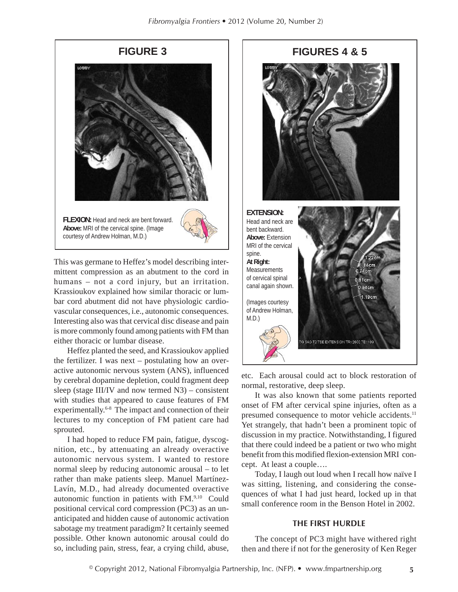

This was germane to Heffez's model describing intermittent compression as an abutment to the cord in humans – not a cord injury, but an irritation. Krassioukov explained how similar thoracic or lumbar cord abutment did not have physiologic cardiovascular consequences, i.e., autonomic consequences. Interesting also was that cervical disc disease and pain is more commonly found among patients with FM than either thoracic or lumbar disease.

Heffez planted the seed, and Krassioukov applied the fertilizer. I was next – postulating how an overactive autonomic nervous system (ANS), influenced by cerebral dopamine depletion, could fragment deep sleep (stage III/IV and now termed N3) – consistent with studies that appeared to cause features of FM experimentally.<sup>6-8</sup> The impact and connection of their lectures to my conception of FM patient care had sprouted.

I had hoped to reduce FM pain, fatigue, dyscognition, etc., by attenuating an already overactive autonomic nervous system. I wanted to restore normal sleep by reducing autonomic arousal – to let rather than make patients sleep. Manuel Martínez-Lavín, M.D., had already documented overactive autonomic function in patients with FM.9,10 Could positional cervical cord compression (PC3) as an unanticipated and hidden cause of autonomic activation sabotage my treatment paradigm? It certainly seemed possible. Other known autonomic arousal could do so, including pain, stress, fear, a crying child, abuse,

# **FIGURE 3 FIGURES 4 & 5 EXTENSION:** Head and neck are bent backward. **Above:** Extension MRI of the cervical spine.  $.22cm$ **At Right:** 1.14cm Measurements 0.74cm of cervical spinal 0.81cm canal again shown. 0.94cm 1.19cm (Images courtesy of Andrew Holman, M.D.) 9 SAG T2 TSE EXTENSION TR=2600 TE=109

etc. Each arousal could act to block restoration of normal, restorative, deep sleep.

It was also known that some patients reported onset of FM after cervical spine injuries, often as a presumed consequence to motor vehicle accidents.<sup>11</sup> Yet strangely, that hadn't been a prominent topic of discussion in my practice. Notwithstanding, I figured that there could indeed be a patient or two who might benefit from this modified flexion-extension MRI concept. At least a couple….

Today, I laugh out loud when I recall how naïve I was sitting, listening, and considering the consequences of what I had just heard, locked up in that small conference room in the Benson Hotel in 2002.

### **THE FIRST HURDLE**

The concept of PC3 might have withered right then and there if not for the generosity of Ken Reger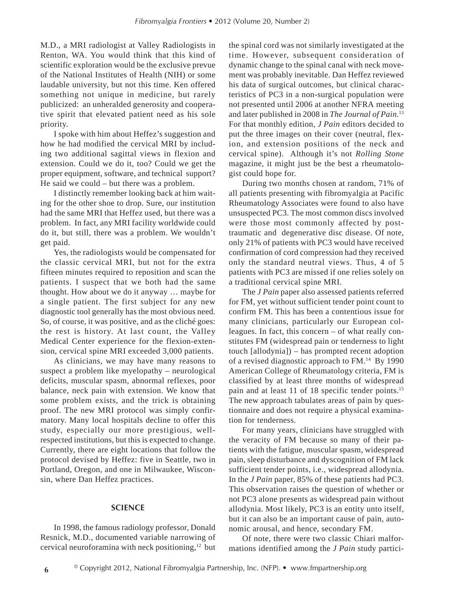M.D., a MRI radiologist at Valley Radiologists in Renton, WA. You would think that this kind of scientific exploration would be the exclusive prevue of the National Institutes of Health (NIH) or some laudable university, but not this time. Ken offered something not unique in medicine, but rarely publicized: an unheralded generosity and cooperative spirit that elevated patient need as his sole priority.

I spoke with him about Heffez's suggestion and how he had modified the cervical MRI by including two additional sagittal views in flexion and extension. Could we do it, too? Could we get the proper equipment, software, and technical support? He said we could – but there was a problem.

I distinctly remember looking back at him waiting for the other shoe to drop. Sure, our institution had the same MRI that Heffez used, but there was a problem. In fact, any MRI facility worldwide could do it, but still, there was a problem. We wouldn't get paid.

Yes, the radiologists would be compensated for the classic cervical MRI, but not for the extra fifteen minutes required to reposition and scan the patients. I suspect that we both had the same thought. How about we do it anyway … maybe for a single patient. The first subject for any new diagnostic tool generally has the most obvious need. So, of course, it was positive, and as the cliché goes: the rest is history. At last count, the Valley Medical Center experience for the flexion-extension, cervical spine MRI exceeded 3,000 patients.

As clinicians, we may have many reasons to suspect a problem like myelopathy – neurological deficits, muscular spasm, abnormal reflexes, poor balance, neck pain with extension. We know that some problem exists, and the trick is obtaining proof. The new MRI protocol was simply confirmatory. Many local hospitals decline to offer this study, especially our more prestigious, wellrespected institutions, but this is expected to change. Currently, there are eight locations that follow the protocol devised by Heffez: five in Seattle, two in Portland, Oregon, and one in Milwaukee, Wisconsin, where Dan Heffez practices.

#### **SCIENCE**

In 1998, the famous radiology professor, Donald Resnick, M.D., documented variable narrowing of cervical neuroforamina with neck positioning, $12$  but

the spinal cord was not similarly investigated at the time. However, subsequent consideration of dynamic change to the spinal canal with neck movement was probably inevitable. Dan Heffez reviewed his data of surgical outcomes, but clinical characteristics of PC3 in a non-surgical population were not presented until 2006 at another NFRA meeting and later published in 2008 in *The Journal of Pain*. 13 For that monthly edition, *J Pain* editors decided to put the three images on their cover (neutral, flexion, and extension positions of the neck and cervical spine). Although it's not *Rolling Stone* magazine, it might just be the best a rheumatologist could hope for.

During two months chosen at random, 71% of all patients presenting with fibromyalgia at Pacific Rheumatology Associates were found to also have unsuspected PC3. The most common discs involved were those most commonly affected by posttraumatic and degenerative disc disease. Of note, only 21% of patients with PC3 would have received confirmation of cord compression had they received only the standard neutral views. Thus, 4 of 5 patients with PC3 are missed if one relies solely on a traditional cervical spine MRI.

The *J Pain* paper also assessed patients referred for FM, yet without sufficient tender point count to confirm FM. This has been a contentious issue for many clinicians, particularly our European colleagues. In fact, this concern – of what really constitutes FM (widespread pain or tenderness to light touch [allodynia]) – has prompted recent adoption of a revised diagnostic approach to FM.14 By 1990 American College of Rheumatology criteria, FM is classified by at least three months of widespread pain and at least 11 of 18 specific tender points.<sup>15</sup> The new approach tabulates areas of pain by questionnaire and does not require a physical examination for tenderness.

For many years, clinicians have struggled with the veracity of FM because so many of their patients with the fatigue, muscular spasm, widespread pain, sleep disturbance and dyscognition of FM lack sufficient tender points, i.e., widespread allodynia. In the *J Pain* paper, 85% of these patients had PC3. This observation raises the question of whether or not PC3 alone presents as widespread pain without allodynia. Most likely, PC3 is an entity unto itself, but it can also be an important cause of pain, autonomic arousal, and hence, secondary FM.

Of note, there were two classic Chiari malformations identified among the *J Pain* study partici-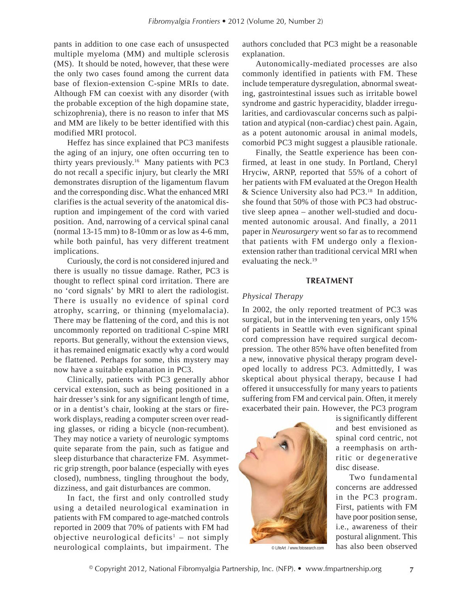pants in addition to one case each of unsuspected multiple myeloma (MM) and multiple sclerosis (MS). It should be noted, however, that these were the only two cases found among the current data base of flexion-extension C-spine MRIs to date. Although FM can coexist with any disorder (with the probable exception of the high dopamine state, schizophrenia), there is no reason to infer that MS and MM are likely to be better identified with this modified MRI protocol.

Heffez has since explained that PC3 manifests the aging of an injury, one often occurring ten to thirty years previously.16 Many patients with PC3 do not recall a specific injury, but clearly the MRI demonstrates disruption of the ligamentum flavum and the corresponding disc. What the enhanced MRI clarifies is the actual severity of the anatomical disruption and impingement of the cord with varied position. And, narrowing of a cervical spinal canal (normal  $13-15$  mm) to  $8-10$ mm or as low as  $4-6$  mm, while both painful, has very different treatment implications.

Curiously, the cord is not considered injured and there is usually no tissue damage. Rather, PC3 is thought to reflect spinal cord irritation. There are no 'cord signals' by MRI to alert the radiologist. There is usually no evidence of spinal cord atrophy, scarring, or thinning (myelomalacia). There may be flattening of the cord, and this is not uncommonly reported on traditional C-spine MRI reports. But generally, without the extension views, it has remained enigmatic exactly why a cord would be flattened. Perhaps for some, this mystery may now have a suitable explanation in PC3.

Clinically, patients with PC3 generally abhor cervical extension, such as being positioned in a hair dresser's sink for any significant length of time, or in a dentist's chair, looking at the stars or firework displays, reading a computer screen over reading glasses, or riding a bicycle (non-recumbent). They may notice a variety of neurologic symptoms quite separate from the pain, such as fatigue and sleep disturbance that characterize FM. Asymmetric grip strength, poor balance (especially with eyes closed), numbness, tingling throughout the body, dizziness, and gait disturbances are common.

In fact, the first and only controlled study using a detailed neurological examination in patients with FM compared to age-matched controls reported in 2009 that 70% of patients with FM had objective neurological deficits<sup>1</sup> – not simply neurological complaints, but impairment. The

authors concluded that PC3 might be a reasonable explanation.

Autonomically-mediated processes are also commonly identified in patients with FM. These include temperature dysregulation, abnormal sweating, gastrointestinal issues such as irritable bowel syndrome and gastric hyperacidity, bladder irregularities, and cardiovascular concerns such as palpitation and atypical (non-cardiac) chest pain. Again, as a potent autonomic arousal in animal models, comorbid PC3 might suggest a plausible rationale.

Finally, the Seattle experience has been confirmed, at least in one study. In Portland, Cheryl Hryciw, ARNP, reported that 55% of a cohort of her patients with FM evaluated at the Oregon Health & Science University also had PC3.18 In addition, she found that 50% of those with PC3 had obstructive sleep apnea – another well-studied and documented autonomic arousal. And finally, a 2011 paper in *Neurosurgery* went so far as to recommend that patients with FM undergo only a flexionextension rather than traditional cervical MRI when evaluating the neck.<sup>19</sup>

#### **TREATMENT**

### *Physical Therapy*

In 2002, the only reported treatment of PC3 was surgical, but in the intervening ten years, only 15% of patients in Seattle with even significant spinal cord compression have required surgical decompression. The other 85% have often benefited from a new, innovative physical therapy program developed locally to address PC3. Admittedly, I was skeptical about physical therapy, because I had offered it unsuccessfully for many years to patients suffering from FM and cervical pain. Often, it merely exacerbated their pain. However, the PC3 program



is significantly different and best envisioned as spinal cord centric, not a reemphasis on arthritic or degenerative disc disease.

Two fundamental concerns are addressed in the PC3 program. First, patients with FM have poor position sense, i.e., awareness of their postural alignment. This © LifeArt / www.fotosearch.com has also been observed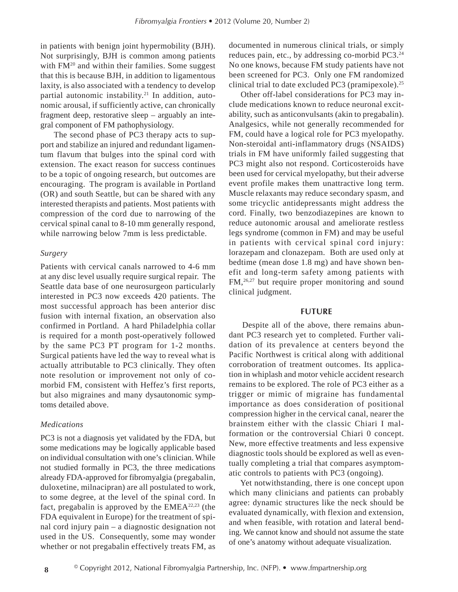in patients with benign joint hypermobility (BJH). Not surprisingly, BJH is common among patients with FM<sup>20</sup> and within their families. Some suggest that this is because BJH, in addition to ligamentous laxity, is also associated with a tendency to develop partial autonomic instability.<sup>21</sup> In addition, autonomic arousal, if sufficiently active, can chronically fragment deep, restorative sleep – arguably an integral component of FM pathophysiology.

The second phase of PC3 therapy acts to support and stabilize an injured and redundant ligamentum flavum that bulges into the spinal cord with extension. The exact reason for success continues to be a topic of ongoing research, but outcomes are encouraging. The program is available in Portland (OR) and south Seattle, but can be shared with any interested therapists and patients. Most patients with compression of the cord due to narrowing of the cervical spinal canal to 8-10 mm generally respond, while narrowing below 7mm is less predictable.

#### *Surgery*

Patients with cervical canals narrowed to 4-6 mm at any disc level usually require surgical repair. The Seattle data base of one neurosurgeon particularly interested in PC3 now exceeds 420 patients. The most successful approach has been anterior disc fusion with internal fixation, an observation also confirmed in Portland. A hard Philadelphia collar is required for a month post-operatively followed by the same PC3 PT program for 1-2 months. Surgical patients have led the way to reveal what is actually attributable to PC3 clinically. They often note resolution or improvement not only of comorbid FM, consistent with Heffez's first reports, but also migraines and many dysautonomic symptoms detailed above.

#### *Medications*

PC3 is not a diagnosis yet validated by the FDA, but some medications may be logically applicable based on individual consultation with one's clinician. While not studied formally in PC3, the three medications already FDA-approved for fibromyalgia (pregabalin, duloxetine, milnacipran) are all postulated to work, to some degree, at the level of the spinal cord. In fact, pregabalin is approved by the EMEA22,23 (the FDA equivalent in Europe) for the treatment of spinal cord injury pain – a diagnostic designation not used in the US. Consequently, some may wonder whether or not pregabalin effectively treats FM, as

documented in numerous clinical trials, or simply reduces pain, etc., by addressing co-morbid PC3.24 No one knows, because FM study patients have not been screened for PC3. Only one FM randomized clinical trial to date excluded PC3 (pramipexole).25

 Other off-label considerations for PC3 may include medications known to reduce neuronal excitability, such as anticonvulsants (akin to pregabalin). Analgesics, while not generally recommended for FM, could have a logical role for PC3 myelopathy. Non-steroidal anti-inflammatory drugs (NSAIDS) trials in FM have uniformly failed suggesting that PC3 might also not respond. Corticosteroids have been used for cervical myelopathy, but their adverse event profile makes them unattractive long term. Muscle relaxants may reduce secondary spasm, and some tricyclic antidepressants might address the cord. Finally, two benzodiazepines are known to reduce autonomic arousal and ameliorate restless legs syndrome (common in FM) and may be useful in patients with cervical spinal cord injury: lorazepam and clonazepam. Both are used only at bedtime (mean dose 1.8 mg) and have shown benefit and long-term safety among patients with FM,26,27 but require proper monitoring and sound clinical judgment.

#### **FUTURE**

Despite all of the above, there remains abundant PC3 research yet to completed. Further validation of its prevalence at centers beyond the Pacific Northwest is critical along with additional corroboration of treatment outcomes. Its application in whiplash and motor vehicle accident research remains to be explored. The role of PC3 either as a trigger or mimic of migraine has fundamental importance as does consideration of positional compression higher in the cervical canal, nearer the brainstem either with the classic Chiari I malformation or the controversial Chiari 0 concept. New, more effective treatments and less expensive diagnostic tools should be explored as well as eventually completing a trial that compares asymptomatic controls to patients with PC3 (ongoing).

 Yet notwithstanding, there is one concept upon which many clinicians and patients can probably agree: dynamic structures like the neck should be evaluated dynamically, with flexion and extension, and when feasible, with rotation and lateral bending. We cannot know and should not assume the state of one's anatomy without adequate visualization.